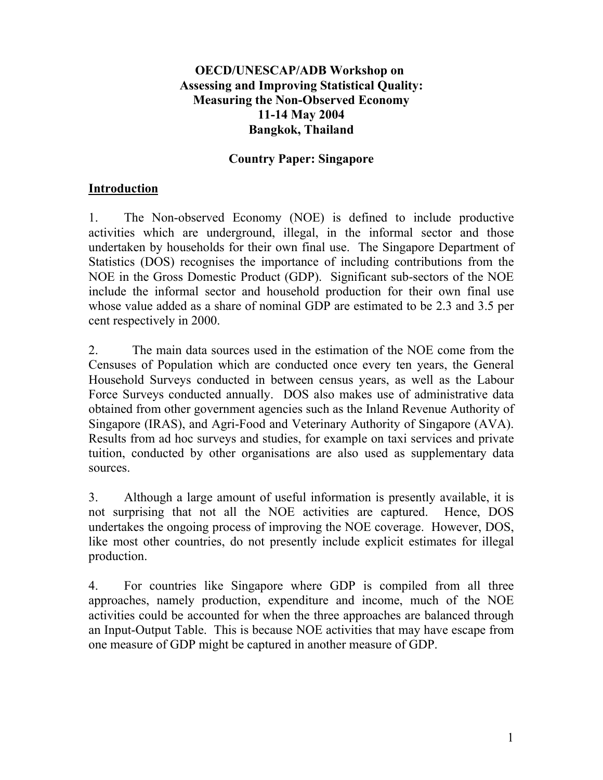#### **OECD/UNESCAP/ADB Workshop on Assessing and Improving Statistical Quality: Measuring the Non-Observed Economy 11-14 May 2004 Bangkok, Thailand**

#### **Country Paper: Singapore**

## **Introduction**

1. The Non-observed Economy (NOE) is defined to include productive activities which are underground, illegal, in the informal sector and those undertaken by households for their own final use. The Singapore Department of Statistics (DOS) recognises the importance of including contributions from the NOE in the Gross Domestic Product (GDP). Significant sub-sectors of the NOE include the informal sector and household production for their own final use whose value added as a share of nominal GDP are estimated to be 2.3 and 3.5 per cent respectively in 2000.

2. The main data sources used in the estimation of the NOE come from the Censuses of Population which are conducted once every ten years, the General Household Surveys conducted in between census years, as well as the Labour Force Surveys conducted annually. DOS also makes use of administrative data obtained from other government agencies such as the Inland Revenue Authority of Singapore (IRAS), and Agri-Food and Veterinary Authority of Singapore (AVA). Results from ad hoc surveys and studies, for example on taxi services and private tuition, conducted by other organisations are also used as supplementary data sources.

3. Although a large amount of useful information is presently available, it is not surprising that not all the NOE activities are captured. Hence, DOS undertakes the ongoing process of improving the NOE coverage. However, DOS, like most other countries, do not presently include explicit estimates for illegal production.

4. For countries like Singapore where GDP is compiled from all three approaches, namely production, expenditure and income, much of the NOE activities could be accounted for when the three approaches are balanced through an Input-Output Table. This is because NOE activities that may have escape from one measure of GDP might be captured in another measure of GDP.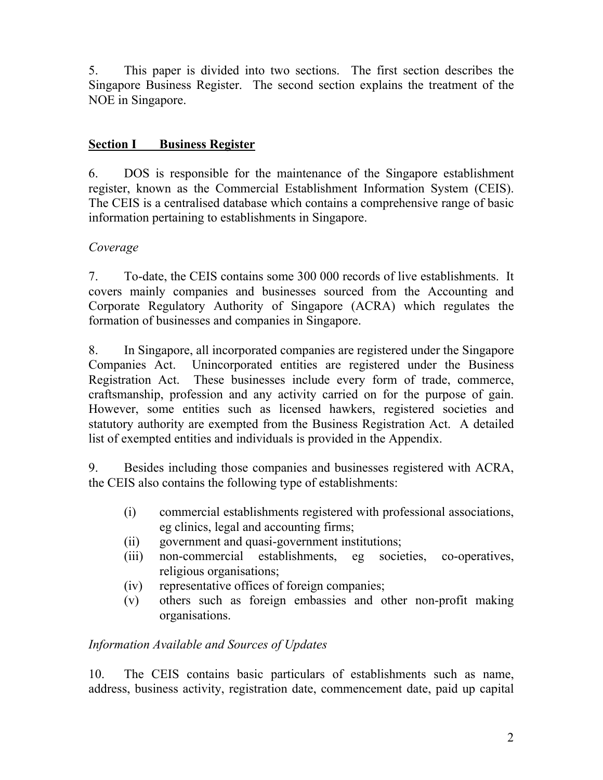5. This paper is divided into two sections. The first section describes the Singapore Business Register. The second section explains the treatment of the NOE in Singapore.

## **Section I Business Register**

6. DOS is responsible for the maintenance of the Singapore establishment register, known as the Commercial Establishment Information System (CEIS). The CEIS is a centralised database which contains a comprehensive range of basic information pertaining to establishments in Singapore.

## *Coverage*

7. To-date, the CEIS contains some 300 000 records of live establishments. It covers mainly companies and businesses sourced from the Accounting and Corporate Regulatory Authority of Singapore (ACRA) which regulates the formation of businesses and companies in Singapore.

8. In Singapore, all incorporated companies are registered under the Singapore Companies Act. Unincorporated entities are registered under the Business Registration Act. These businesses include every form of trade, commerce, craftsmanship, profession and any activity carried on for the purpose of gain. However, some entities such as licensed hawkers, registered societies and statutory authority are exempted from the Business Registration Act. A detailed list of exempted entities and individuals is provided in the Appendix.

9. Besides including those companies and businesses registered with ACRA, the CEIS also contains the following type of establishments:

- (i) commercial establishments registered with professional associations, eg clinics, legal and accounting firms;
- (ii) government and quasi-government institutions;
- (iii) non-commercial establishments, eg societies, co-operatives, religious organisations;
- (iv) representative offices of foreign companies;
- (v) others such as foreign embassies and other non-profit making organisations.

#### *Information Available and Sources of Updates*

10. The CEIS contains basic particulars of establishments such as name, address, business activity, registration date, commencement date, paid up capital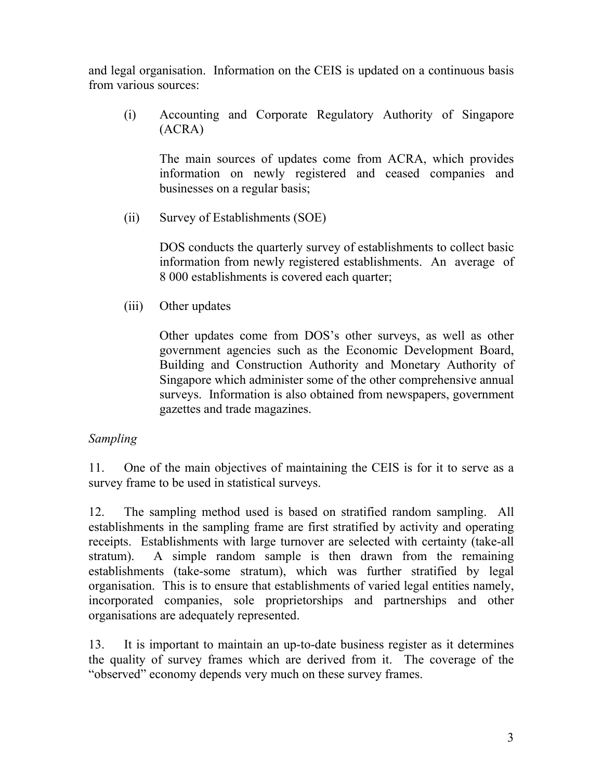and legal organisation. Information on the CEIS is updated on a continuous basis from various sources:

(i) Accounting and Corporate Regulatory Authority of Singapore (ACRA)

The main sources of updates come from ACRA, which provides information on newly registered and ceased companies and businesses on a regular basis;

(ii) Survey of Establishments (SOE)

DOS conducts the quarterly survey of establishments to collect basic information from newly registered establishments. An average of 8 000 establishments is covered each quarter;

(iii) Other updates

Other updates come from DOS's other surveys, as well as other government agencies such as the Economic Development Board, Building and Construction Authority and Monetary Authority of Singapore which administer some of the other comprehensive annual surveys. Information is also obtained from newspapers, government gazettes and trade magazines.

## *Sampling*

11. One of the main objectives of maintaining the CEIS is for it to serve as a survey frame to be used in statistical surveys.

12. The sampling method used is based on stratified random sampling. All establishments in the sampling frame are first stratified by activity and operating receipts. Establishments with large turnover are selected with certainty (take-all stratum). A simple random sample is then drawn from the remaining establishments (take-some stratum), which was further stratified by legal organisation. This is to ensure that establishments of varied legal entities namely, incorporated companies, sole proprietorships and partnerships and other organisations are adequately represented.

13. It is important to maintain an up-to-date business register as it determines the quality of survey frames which are derived from it. The coverage of the "observed" economy depends very much on these survey frames.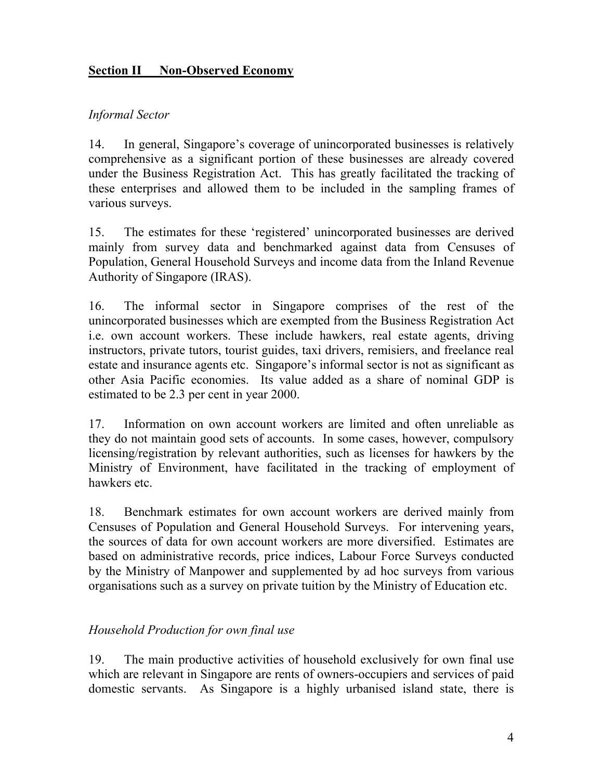## **Section II Non-Observed Economy**

## *Informal Sector*

14. In general, Singapore's coverage of unincorporated businesses is relatively comprehensive as a significant portion of these businesses are already covered under the Business Registration Act. This has greatly facilitated the tracking of these enterprises and allowed them to be included in the sampling frames of various surveys.

15. The estimates for these 'registered' unincorporated businesses are derived mainly from survey data and benchmarked against data from Censuses of Population, General Household Surveys and income data from the Inland Revenue Authority of Singapore (IRAS).

16. The informal sector in Singapore comprises of the rest of the unincorporated businesses which are exempted from the Business Registration Act i.e. own account workers. These include hawkers, real estate agents, driving instructors, private tutors, tourist guides, taxi drivers, remisiers, and freelance real estate and insurance agents etc. Singapore's informal sector is not as significant as other Asia Pacific economies. Its value added as a share of nominal GDP is estimated to be 2.3 per cent in year 2000.

17. Information on own account workers are limited and often unreliable as they do not maintain good sets of accounts. In some cases, however, compulsory licensing/registration by relevant authorities, such as licenses for hawkers by the Ministry of Environment, have facilitated in the tracking of employment of hawkers etc.

18. Benchmark estimates for own account workers are derived mainly from Censuses of Population and General Household Surveys. For intervening years, the sources of data for own account workers are more diversified. Estimates are based on administrative records, price indices, Labour Force Surveys conducted by the Ministry of Manpower and supplemented by ad hoc surveys from various organisations such as a survey on private tuition by the Ministry of Education etc.

## *Household Production for own final use*

19. The main productive activities of household exclusively for own final use which are relevant in Singapore are rents of owners-occupiers and services of paid domestic servants. As Singapore is a highly urbanised island state, there is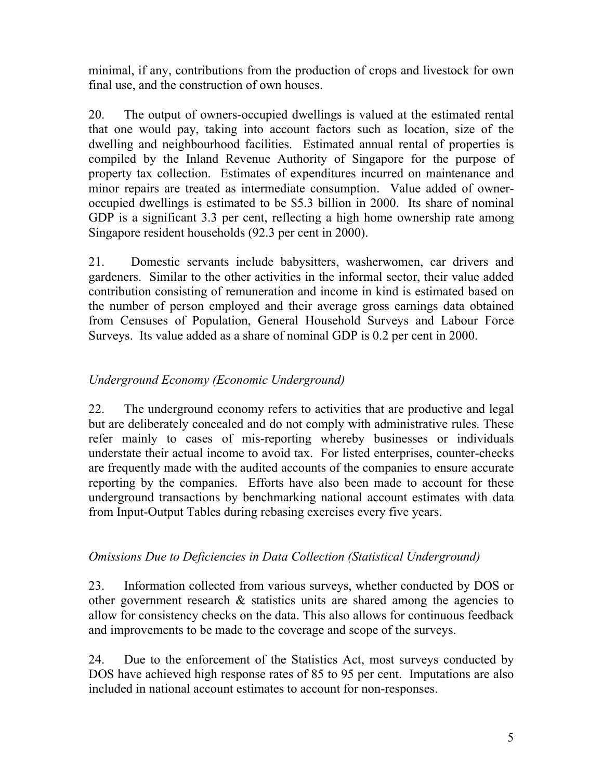minimal, if any, contributions from the production of crops and livestock for own final use, and the construction of own houses.

20. The output of owners-occupied dwellings is valued at the estimated rental that one would pay, taking into account factors such as location, size of the dwelling and neighbourhood facilities. Estimated annual rental of properties is compiled by the Inland Revenue Authority of Singapore for the purpose of property tax collection. Estimates of expenditures incurred on maintenance and minor repairs are treated as intermediate consumption. Value added of owneroccupied dwellings is estimated to be \$5.3 billion in 2000. Its share of nominal GDP is a significant 3.3 per cent, reflecting a high home ownership rate among Singapore resident households (92.3 per cent in 2000).

21. Domestic servants include babysitters, washerwomen, car drivers and gardeners. Similar to the other activities in the informal sector, their value added contribution consisting of remuneration and income in kind is estimated based on the number of person employed and their average gross earnings data obtained from Censuses of Population, General Household Surveys and Labour Force Surveys. Its value added as a share of nominal GDP is 0.2 per cent in 2000.

# *Underground Economy (Economic Underground)*

22. The underground economy refers to activities that are productive and legal but are deliberately concealed and do not comply with administrative rules. These refer mainly to cases of mis-reporting whereby businesses or individuals understate their actual income to avoid tax. For listed enterprises, counter-checks are frequently made with the audited accounts of the companies to ensure accurate reporting by the companies. Efforts have also been made to account for these underground transactions by benchmarking national account estimates with data from Input-Output Tables during rebasing exercises every five years.

## *Omissions Due to Deficiencies in Data Collection (Statistical Underground)*

23. Information collected from various surveys, whether conducted by DOS or other government research  $\&$  statistics units are shared among the agencies to allow for consistency checks on the data. This also allows for continuous feedback and improvements to be made to the coverage and scope of the surveys.

24. Due to the enforcement of the Statistics Act, most surveys conducted by DOS have achieved high response rates of 85 to 95 per cent. Imputations are also included in national account estimates to account for non-responses.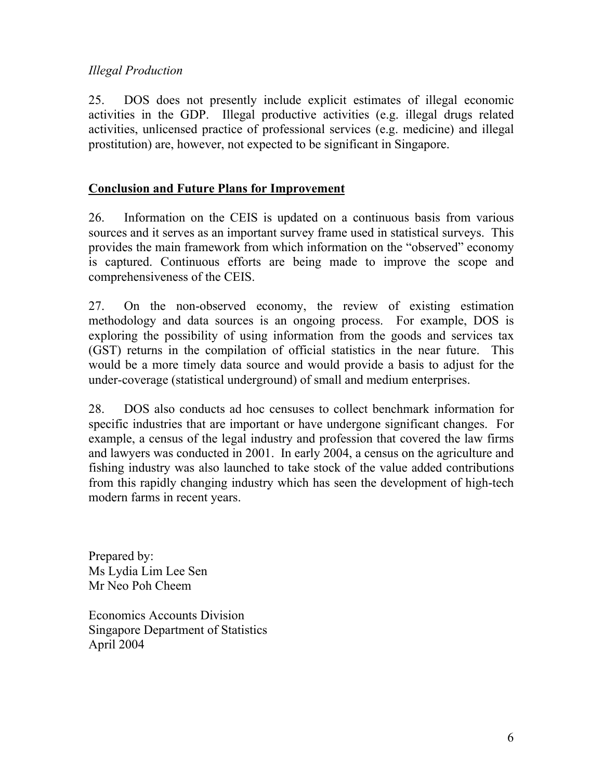## *Illegal Production*

25. DOS does not presently include explicit estimates of illegal economic activities in the GDP. Illegal productive activities (e.g. illegal drugs related activities, unlicensed practice of professional services (e.g. medicine) and illegal prostitution) are, however, not expected to be significant in Singapore.

## **Conclusion and Future Plans for Improvement**

26. Information on the CEIS is updated on a continuous basis from various sources and it serves as an important survey frame used in statistical surveys. This provides the main framework from which information on the "observed" economy is captured. Continuous efforts are being made to improve the scope and comprehensiveness of the CEIS.

27. On the non-observed economy, the review of existing estimation methodology and data sources is an ongoing process. For example, DOS is exploring the possibility of using information from the goods and services tax (GST) returns in the compilation of official statistics in the near future. This would be a more timely data source and would provide a basis to adjust for the under-coverage (statistical underground) of small and medium enterprises.

28. DOS also conducts ad hoc censuses to collect benchmark information for specific industries that are important or have undergone significant changes. For example, a census of the legal industry and profession that covered the law firms and lawyers was conducted in 2001. In early 2004, a census on the agriculture and fishing industry was also launched to take stock of the value added contributions from this rapidly changing industry which has seen the development of high-tech modern farms in recent years.

Prepared by: Ms Lydia Lim Lee Sen Mr Neo Poh Cheem

Economics Accounts Division Singapore Department of Statistics April 2004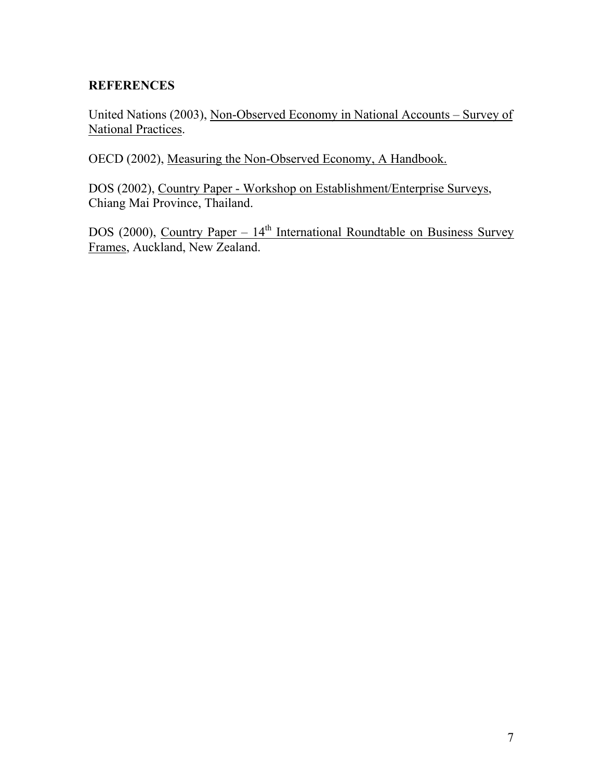## **REFERENCES**

United Nations (2003), Non-Observed Economy in National Accounts – Survey of National Practices.

OECD (2002), Measuring the Non-Observed Economy, A Handbook.

DOS (2002), Country Paper - Workshop on Establishment/Enterprise Surveys, Chiang Mai Province, Thailand.

DOS (2000), Country Paper –  $14<sup>th</sup>$  International Roundtable on Business Survey Frames, Auckland, New Zealand.